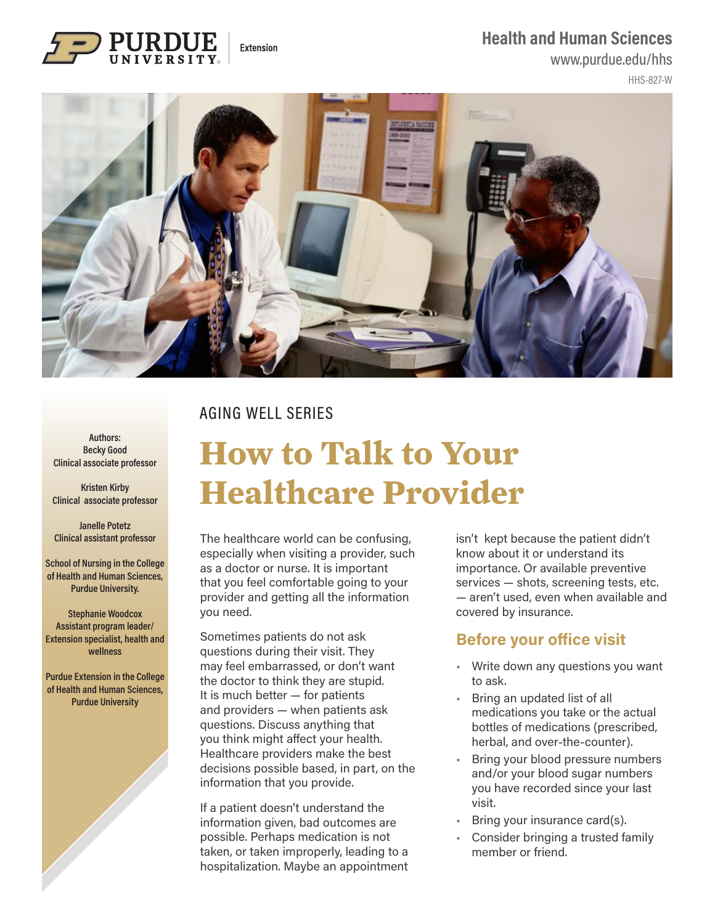### **Health and Human Sciences**

### www.purdue.edu/hhs





### AGING WELL SERIES

Extension

#### **Authors: Becky Good Clinical associate professor**

**Kristen Kirby Clinical associate professor**

**Janelle Potetz Clinical assistant professor**

**School of Nursing in the College of Health and Human Sciences, Purdue University.** 

**Stephanie Woodcox Assistant program leader/ Extension specialist, health and wellness**

**Purdue Extension in the College of Health and Human Sciences, Purdue University**

# **How to Talk to Your Healthcare Provider**

The healthcare world can be confusing, especially when visiting a provider, such as a doctor or nurse. It is important that you feel comfortable going to your provider and getting all the information you need.

Sometimes patients do not ask questions during their visit. They may feel embarrassed, or don't want the doctor to think they are stupid. It is much better — for patients and providers — when patients ask questions. Discuss anything that you think might affect your health. Healthcare providers make the best decisions possible based, in part, on the information that you provide.

If a patient doesn't understand the information given, bad outcomes are possible. Perhaps medication is not taken, or taken improperly, leading to a hospitalization. Maybe an appointment isn't kept because the patient didn't know about it or understand its importance. Or available preventive services — shots, screening tests, etc. — aren't used, even when available and covered by insurance.

### **Before your office visit**

- Write down any questions you want to ask.
- Bring an updated list of all medications you take or the actual bottles of medications (prescribed, herbal, and over-the-counter).
- Bring your blood pressure numbers and/or your blood sugar numbers you have recorded since your last visit.
- Bring your insurance card(s).
- Consider bringing a trusted family member or friend.